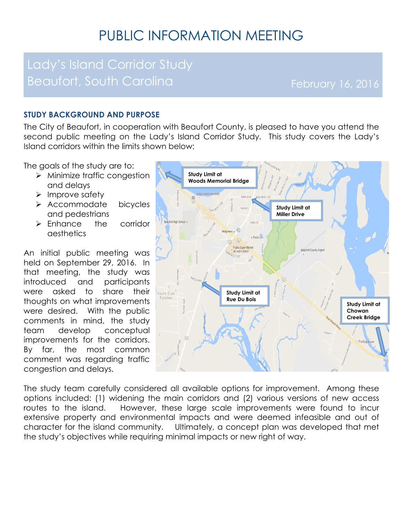# PUBLIC INFORMATION MEETING

## Lady's Island Corridor Study Beaufort, South Carolina February 16, 2016

#### **STUDY BACKGROUND AND PURPOSE**

The City of Beaufort, in cooperation with Beaufort County, is pleased to have you attend the second public meeting on the Lady's Island Corridor Study. This study covers the Lady's Island corridors within the limits shown below:

The goals of the study are to:

- > Minimize traffic congestion and delays
- > Improve safety
- > Accommodate bicycles and pedestrians
- > Enhance the corridor aesthetics

An initial public meeting was held on September 29, 2016. In that meeting, the study was introduced and participants were asked to share their thoughts on what improvements were desired. With the public comments in mind, the study team develop conceptual improvements for the corridors. By far, the most common comment was regarding traffic congestion and delays.



The study team carefully considered all available options for improvement. Among these options included: (1) widening the main corridors and (2) various versions of new access routes to the island. However, these large scale improvements were found to incur extensive property and environmental impacts and were deemed infeasible and out of character for the island community. Ultimately, a concept plan was developed that met the study's objectives while requiring minimal impacts or new right of way.